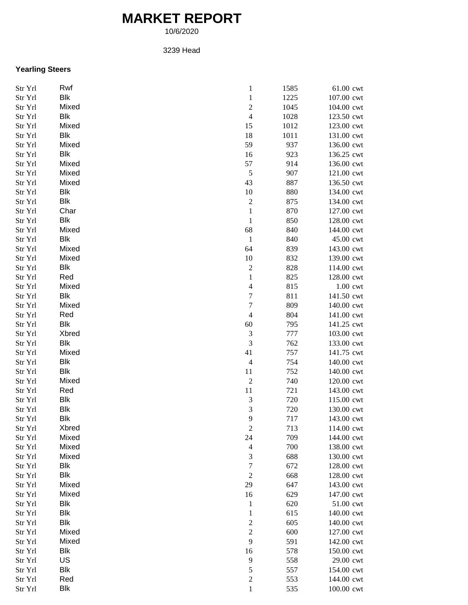# **MARKET REPORT**

10/6/2020

### 3239 Head

# **Yearling Steers**

| Str Yrl | Rwf        | $\,1$                    | 1585 | 61.00 cwt  |
|---------|------------|--------------------------|------|------------|
| Str Yrl | Blk        | $\mathbf{1}$             | 1225 | 107.00 cwt |
| Str Yrl | Mixed      | $\overline{c}$           | 1045 | 104.00 cwt |
| Str Yrl | <b>Blk</b> | $\overline{4}$           | 1028 | 123.50 cwt |
| Str Yrl | Mixed      | 15                       | 1012 | 123.00 cwt |
| Str Yrl | Blk        | 18                       | 1011 | 131.00 cwt |
| Str Yrl | Mixed      | 59                       | 937  | 136.00 cwt |
| Str Yrl | Blk        | 16                       | 923  | 136.25 cwt |
| Str Yrl | Mixed      | 57                       | 914  | 136.00 cwt |
| Str Yrl | Mixed      | $\sqrt{5}$               | 907  | 121.00 cwt |
| Str Yrl | Mixed      | 43                       | 887  | 136.50 cwt |
| Str Yrl | Blk        | 10                       | 880  | 134.00 cwt |
| Str Yrl | Blk        | $\overline{\mathbf{c}}$  | 875  | 134.00 cwt |
| Str Yrl | Char       | $\,1$                    | 870  | 127.00 cwt |
| Str Yrl | Blk        | $\,1$                    | 850  | 128.00 cwt |
| Str Yrl | Mixed      | 68                       | 840  | 144.00 cwt |
| Str Yrl | Blk        | $\,1\,$                  | 840  | 45.00 cwt  |
| Str Yrl | Mixed      | 64                       | 839  | 143.00 cwt |
| Str Yrl | Mixed      | 10                       | 832  | 139.00 cwt |
| Str Yrl | Blk        | $\overline{c}$           | 828  | 114.00 cwt |
| Str Yrl | Red        | $\,1$                    | 825  | 128.00 cwt |
| Str Yrl | Mixed      | $\overline{\mathcal{L}}$ | 815  | 1.00 cwt   |
| Str Yrl | Blk        | $\sqrt{ }$               | 811  | 141.50 cwt |
| Str Yrl | Mixed      | $\sqrt{ }$               | 809  | 140.00 cwt |
| Str Yrl | Red        | $\overline{4}$           | 804  | 141.00 cwt |
|         | Blk        |                          | 795  | 141.25 cwt |
| Str Yrl | Xbred      | 60                       | 777  |            |
| Str Yrl |            | $\mathfrak{Z}$           |      | 103.00 cwt |
| Str Yrl | Blk        | 3                        | 762  | 133.00 cwt |
| Str Yrl | Mixed      | 41                       | 757  | 141.75 cwt |
| Str Yrl | <b>Blk</b> | $\overline{4}$           | 754  | 140.00 cwt |
| Str Yrl | Blk        | 11                       | 752  | 140.00 cwt |
| Str Yrl | Mixed      | $\sqrt{2}$               | 740  | 120.00 cwt |
| Str Yrl | Red        | $11\,$                   | 721  | 143.00 cwt |
| Str Yrl | <b>Blk</b> | 3                        | 720  | 115.00 cwt |
| Str Yrl | <b>Blk</b> | $\overline{3}$           | 720  | 130.00 cwt |
| Str Yrl | <b>Blk</b> | 9                        | 717  | 143.00 cwt |
| Str Yrl | Xbred      | $\overline{\mathbf{c}}$  | 713  | 114.00 cwt |
| Str Yrl | Mixed      | 24                       | 709  | 144.00 cwt |
| Str Yrl | Mixed      | $\overline{4}$           | 700  | 138.00 cwt |
| Str Yrl | Mixed      | 3                        | 688  | 130.00 cwt |
| Str Yrl | Blk        | $\overline{7}$           | 672  | 128.00 cwt |
| Str Yrl | Blk        | $\sqrt{2}$               | 668  | 128.00 cwt |
| Str Yrl | Mixed      | 29                       | 647  | 143.00 cwt |
| Str Yrl | Mixed      | 16                       | 629  | 147.00 cwt |
| Str Yrl | <b>Blk</b> | $\mathbf{1}$             | 620  | 51.00 cwt  |
| Str Yrl | <b>Blk</b> | $\,1$                    | 615  | 140.00 cwt |
| Str Yrl | Blk        | $\overline{\mathbf{c}}$  | 605  | 140.00 cwt |
| Str Yrl | Mixed      | $\sqrt{2}$               | 600  | 127.00 cwt |
| Str Yrl | Mixed      | 9                        | 591  | 142.00 cwt |
| Str Yrl | Blk        | 16                       | 578  | 150.00 cwt |
| Str Yrl | US         | 9                        | 558  | 29.00 cwt  |
| Str Yrl | Blk        | 5                        | 557  | 154.00 cwt |
| Str Yrl | Red        | $\overline{c}$           | 553  | 144.00 cwt |
| Str Yrl | <b>Blk</b> | $\,1$                    | 535  | 100.00 cwt |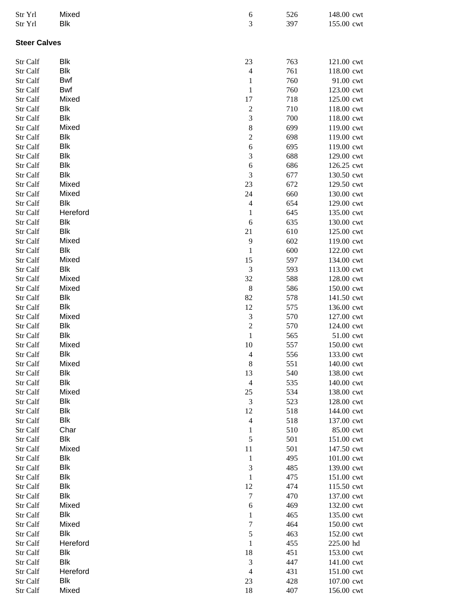| Str Yrl<br>Str Yrl   | Mixed<br><b>Blk</b> | 6<br>$\mathfrak{Z}$               | 526<br>397 | 148.00 cwt<br>155.00 cwt |
|----------------------|---------------------|-----------------------------------|------------|--------------------------|
| <b>Steer Calves</b>  |                     |                                   |            |                          |
| Str Calf             | Blk                 | 23                                | 763        | 121.00 cwt               |
| Str Calf             | Blk                 | $\overline{4}$                    | 761        | 118.00 cwt               |
| Str Calf             | Bwf                 | $\mathbf{1}$                      | 760        | 91.00 cwt                |
| Str Calf             | Bwf                 | $\mathbf 1$                       | 760        | 123.00 cwt               |
| Str Calf             | Mixed               | $17\,$                            | 718        | 125.00 cwt               |
| Str Calf             | Blk                 | $\boldsymbol{2}$                  | 710        | 118.00 cwt               |
| Str Calf             | <b>Blk</b>          | $\mathfrak{Z}$                    | 700        | 118.00 cwt               |
| Str Calf             | Mixed               | $\,$ 8 $\,$                       | 699        | 119.00 cwt               |
| Str Calf             | <b>Blk</b>          | $\overline{c}$                    | 698        | 119.00 cwt               |
| Str Calf             | <b>Blk</b>          | $\overline{6}$                    | 695        | 119.00 cwt               |
| Str Calf             | <b>Blk</b>          | $\mathfrak{Z}$                    | 688        | 129.00 cwt               |
| Str Calf             | <b>Blk</b>          | $\boldsymbol{6}$                  | 686        | 126.25 cwt               |
| Str Calf             | <b>Blk</b>          | $\mathfrak{Z}$                    | 677        | 130.50 cwt               |
| Str Calf             | Mixed               | $23\,$                            | 672        | 129.50 cwt               |
| Str Calf             | Mixed<br><b>Blk</b> | 24                                | 660        | 130.00 cwt               |
| Str Calf             | Hereford            | $\overline{4}$                    | 654        | 129.00 cwt               |
| Str Calf<br>Str Calf | <b>Blk</b>          | $\mathbf{1}$<br>6                 | 645<br>635 | 135.00 cwt<br>130.00 cwt |
| Str Calf             | Blk                 | 21                                | 610        | 125.00 cwt               |
| Str Calf             | Mixed               | 9                                 | 602        | 119.00 cwt               |
| Str Calf             | Blk                 | $\,1\,$                           | 600        | 122.00 cwt               |
| Str Calf             | Mixed               | 15                                | 597        | 134.00 cwt               |
| Str Calf             | Blk                 | $\ensuremath{\mathfrak{Z}}$       | 593        | 113.00 cwt               |
| Str Calf             | Mixed               | 32                                | 588        | 128.00 cwt               |
| Str Calf             | Mixed               | $\,8\,$                           | 586        | 150.00 cwt               |
| Str Calf             | <b>Blk</b>          | 82                                | 578        | 141.50 cwt               |
| Str Calf             | <b>Blk</b>          | 12                                | 575        | 136.00 cwt               |
| Str Calf             | Mixed               | $\mathfrak{Z}$                    | 570        | 127.00 cwt               |
| Str Calf             | <b>Blk</b>          | $\overline{c}$                    | 570        | 124.00 cwt               |
| Str Calf             | Blk                 | $\,1\,$                           | 565        | 51.00 cwt                |
| Str Calf             | Mixed               | 10                                | 557        | 150.00 cwt               |
| Str Calf             | Blk                 | $\overline{4}$                    | 556        | 133.00 cwt               |
| Str Calf             | Mixed               | $\,8\,$                           | 551        | 140.00 cwt               |
| Str Calf             | Blk                 | 13                                | 540        | 138.00 cwt               |
| Str Calf             | Blk<br>Mixed        | $\overline{4}$                    | 535        | 140.00 cwt               |
| Str Calf<br>Str Calf | Blk                 | 25<br>$\ensuremath{\mathfrak{Z}}$ | 534<br>523 | 138.00 cwt<br>128.00 cwt |
| Str Calf             | Blk                 | 12                                | 518        | 144.00 cwt               |
| Str Calf             | Blk                 | $\overline{4}$                    | 518        | 137.00 cwt               |
| Str Calf             | Char                | $\mathbf{1}$                      | 510        | 85.00 cwt                |
| Str Calf             | Blk                 | $\mathfrak s$                     | 501        | 151.00 cwt               |
| Str Calf             | Mixed               | 11                                | 501        | 147.50 cwt               |
| Str Calf             | Blk                 | $\,1\,$                           | 495        | 101.00 cwt               |
| Str Calf             | <b>Blk</b>          | $\ensuremath{\mathfrak{Z}}$       | 485        | 139.00 cwt               |
| Str Calf             | <b>Blk</b>          | $\,1\,$                           | 475        | 151.00 cwt               |
| Str Calf             | <b>Blk</b>          | 12                                | 474        | 115.50 cwt               |
| Str Calf             | Blk                 | $\boldsymbol{7}$                  | 470        | 137.00 cwt               |
| Str Calf             | Mixed               | 6                                 | 469        | 132.00 cwt               |
| Str Calf             | <b>Blk</b>          | $\mathbf{1}$                      | 465        | 135.00 cwt               |
| Str Calf             | Mixed               | $\boldsymbol{7}$                  | 464        | 150.00 cwt               |
| Str Calf             | Blk                 | 5                                 | 463        | 152.00 cwt               |
| Str Calf             | Hereford            | $\mathbf{1}$                      | 455        | 225.00 hd                |
| Str Calf             | Blk                 | 18                                | 451        | 153.00 cwt               |
| Str Calf             | Blk                 | $\ensuremath{\mathfrak{Z}}$       | 447        | 141.00 cwt               |
| Str Calf<br>Str Calf | Hereford<br>Blk     | $\overline{4}$<br>23              | 431<br>428 | 151.00 cwt<br>107.00 cwt |
| Str Calf             | Mixed               | 18                                | 407        | 156.00 cwt               |
|                      |                     |                                   |            |                          |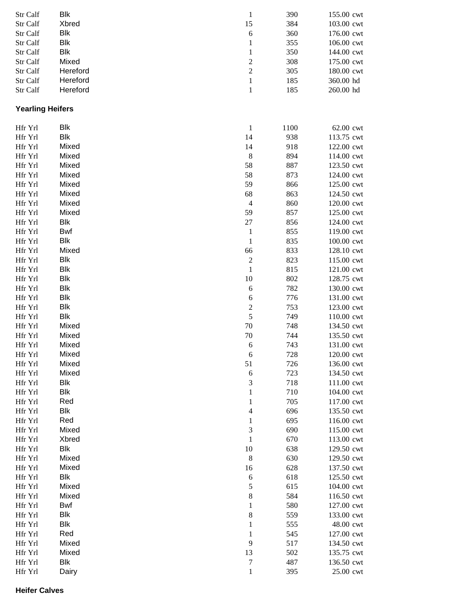| Str Calf                | Blk        | $\mathbf{1}$             | 390  | 155.00 cwt |
|-------------------------|------------|--------------------------|------|------------|
| Str Calf                | Xbred      | 15                       | 384  | 103.00 cwt |
| Str Calf                | Blk        | 6                        | 360  | 176.00 cwt |
| Str Calf                | Blk        | $\mathbf{1}$             | 355  | 106.00 cwt |
| Str Calf                | Blk        | $\mathbf{1}$             | 350  | 144.00 cwt |
| Str Calf                | Mixed      | $\overline{c}$           | 308  | 175.00 cwt |
| Str Calf                | Hereford   | $\overline{\mathbf{c}}$  | 305  | 180.00 cwt |
| Str Calf                | Hereford   | $\mathbf{1}$             | 185  | 360.00 hd  |
| Str Calf                | Hereford   | $\mathbf{1}$             | 185  | 260.00 hd  |
| <b>Yearling Heifers</b> |            |                          |      |            |
| Hfr Yrl                 | Blk        | $\mathbf{1}$             | 1100 | 62.00 cwt  |
| Hfr Yrl                 | Blk        | 14                       | 938  | 113.75 cwt |
| Hfr Yrl                 | Mixed      | 14                       | 918  | 122.00 cwt |
| Hfr Yrl                 | Mixed      | 8                        | 894  | 114.00 cwt |
| Hfr Yrl                 | Mixed      | 58                       | 887  | 123.50 cwt |
| Hfr Yrl                 | Mixed      | 58                       | 873  | 124.00 cwt |
| Hfr Yrl                 | Mixed      | 59                       | 866  | 125.00 cwt |
| Hfr Yrl                 | Mixed      | 68                       | 863  | 124.50 cwt |
| Hfr Yrl                 | Mixed      | 4                        | 860  | 120.00 cwt |
| Hfr Yrl                 | Mixed      | 59                       | 857  | 125.00 cwt |
| Hfr Yrl                 | Blk        | $27\,$                   | 856  | 124.00 cwt |
| Hfr Yrl                 | Bwf        | $\mathbf{1}$             | 855  | 119.00 cwt |
| Hfr Yrl                 | Blk        | $\mathbf{1}$             | 835  | 100.00 cwt |
| Hfr Yrl                 | Mixed      | 66                       | 833  | 128.10 cwt |
| Hfr Yrl                 | Blk        | $\overline{\mathbf{c}}$  | 823  | 115.00 cwt |
| Hfr Yrl                 | Blk        | $\,1$                    | 815  | 121.00 cwt |
| Hfr Yrl                 | Blk        | 10                       | 802  | 128.75 cwt |
| Hfr Yrl                 | Blk        | $\sqrt{6}$               | 782  | 130.00 cwt |
| Hfr Yrl                 | Blk        | 6                        | 776  | 131.00 cwt |
| Hfr Yrl                 | Blk        | $\overline{c}$           | 753  | 123.00 cwt |
| Hfr Yrl                 | <b>Blk</b> | 5                        | 749  | 110.00 cwt |
| Hfr Yrl                 | Mixed      | 70                       | 748  | 134.50 cwt |
| Hfr Yrl                 | Mixed      | 70                       | 744  | 135.50 cwt |
| Hfr Yrl                 | Mixed      | 6                        | 743  | 131.00 cwt |
| Hfr Yrl                 | Mixed      | 6                        | 728  | 120.00 cwt |
| Hfr Yrl                 | Mixed      | 51                       | 726  | 136.00 cwt |
| Hfr Yrl                 | Mixed      | $\sqrt{6}$               | 723  | 134.50 cwt |
| Hfr Yrl                 | Blk        | 3                        | 718  | 111.00 cwt |
| Hfr Yrl                 | Blk        | 1                        | 710  | 104.00 cwt |
| Hfr Yrl                 | Red        | 1                        | 705  | 117.00 cwt |
| Hfr Yrl                 | Blk        | $\overline{\mathcal{L}}$ | 696  | 135.50 cwt |
| Hfr Yrl                 | Red        | $\mathbf{1}$             | 695  | 116.00 cwt |
| Hfr Yrl                 | Mixed      | 3                        | 690  | 115.00 cwt |
| Hfr Yrl                 | Xbred      | $\mathbf 1$              | 670  | 113.00 cwt |
| Hfr Yrl                 | Blk        | 10                       | 638  | 129.50 cwt |
| Hfr Yrl                 | Mixed      | $\,8\,$                  | 630  | 129.50 cwt |
| Hfr Yrl                 | Mixed      | 16                       | 628  | 137.50 cwt |
| Hfr Yrl                 | Blk        | $\epsilon$               | 618  | 125.50 cwt |
| Hfr Yrl                 | Mixed      | 5                        | 615  | 104.00 cwt |
| Hfr Yrl                 | Mixed      | 8                        | 584  | 116.50 cwt |
| Hfr Yrl                 | Bwf        | $\mathbf{1}$             | 580  | 127.00 cwt |
| Hfr Yrl                 | Blk        | $8\,$                    | 559  | 133.00 cwt |
| Hfr Yrl                 | Blk        | 1                        | 555  | 48.00 cwt  |
| Hfr Yrl                 | Red        | $\mathbf{1}$             | 545  | 127.00 cwt |
| Hfr Yrl                 | Mixed      | $\overline{9}$           | 517  | 134.50 cwt |
| Hfr Yrl                 | Mixed      | 13                       | 502  | 135.75 cwt |
| Hfr Yrl                 | Blk        | $\boldsymbol{7}$         | 487  | 136.50 cwt |
| Hfr Yrl                 | Dairy      | $\mathbf{1}$             | 395  | 25.00 cwt  |
|                         |            |                          |      |            |

#### **Heifer Calves**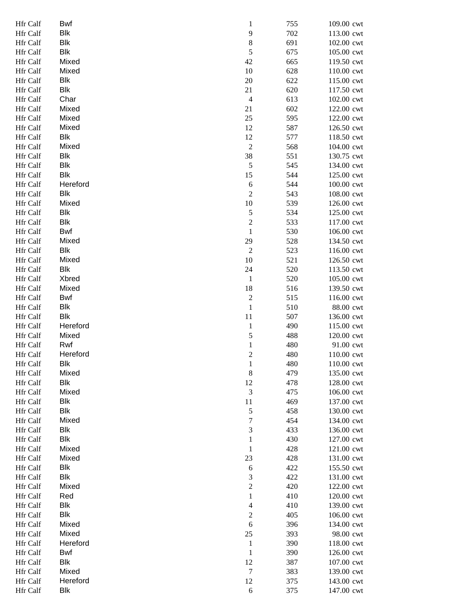| Hfr Calf        | Bwf        | 1              | 755 | 109.00 cwt |
|-----------------|------------|----------------|-----|------------|
| Hfr Calf        | <b>Blk</b> | 9              | 702 | 113.00 cwt |
| Hfr Calf        | <b>Blk</b> | 8              | 691 | 102.00 cwt |
| Hfr Calf        | <b>Blk</b> | 5              | 675 | 105.00 cwt |
| Hfr Calf        | Mixed      | 42             | 665 | 119.50 cwt |
|                 |            |                |     |            |
| Hfr Calf        | Mixed      | 10             | 628 | 110.00 cwt |
| Hfr Calf        | Blk        | 20             | 622 | 115.00 cwt |
| Hfr Calf        | Blk        | 21             | 620 | 117.50 cwt |
| Hfr Calf        | Char       | $\overline{4}$ | 613 | 102.00 cwt |
| Hfr Calf        | Mixed      | 21             | 602 | 122.00 cwt |
| Hfr Calf        | Mixed      | 25             | 595 | 122.00 cwt |
| Hfr Calf        | Mixed      | 12             | 587 | 126.50 cwt |
| Hfr Calf        | Blk        | 12             | 577 | 118.50 cwt |
| Hfr Calf        | Mixed      | $\overline{c}$ | 568 | 104.00 cwt |
| Hfr Calf        | <b>Blk</b> | 38             | 551 | 130.75 cwt |
| Hfr Calf        | <b>Blk</b> | 5              | 545 | 134.00 cwt |
| Hfr Calf        | <b>Blk</b> | 15             | 544 | 125.00 cwt |
| Hfr Calf        | Hereford   | 6              | 544 | 100.00 cwt |
| Hfr Calf        | Blk        | $\overline{c}$ |     | 108.00 cwt |
|                 | Mixed      |                | 543 |            |
| Hfr Calf        |            | 10             | 539 | 126.00 cwt |
| Hfr Calf        | <b>Blk</b> | 5              | 534 | 125.00 cwt |
| Hfr Calf        | <b>Blk</b> | $\overline{c}$ | 533 | 117.00 cwt |
| Hfr Calf        | Bwf        | $\mathbf{1}$   | 530 | 106.00 cwt |
| Hfr Calf        | Mixed      | 29             | 528 | 134.50 cwt |
| Hfr Calf        | Blk        | $\overline{2}$ | 523 | 116.00 cwt |
| Hfr Calf        | Mixed      | 10             | 521 | 126.50 cwt |
| Hfr Calf        | Blk        | 24             | 520 | 113.50 cwt |
| Hfr Calf        | Xbred      | $\mathbf{1}$   | 520 | 105.00 cwt |
| Hfr Calf        | Mixed      | 18             | 516 | 139.50 cwt |
| Hfr Calf        | <b>Bwf</b> | $\overline{c}$ | 515 | 116.00 cwt |
| Hfr Calf        | <b>Blk</b> | $\mathbf{1}$   | 510 | 88.00 cwt  |
| Hfr Calf        | <b>Blk</b> | 11             | 507 | 136.00 cwt |
| Hfr Calf        | Hereford   | $\mathbf{1}$   | 490 | 115.00 cwt |
|                 | Mixed      |                | 488 | 120.00 cwt |
| Hfr Calf        |            | 5              |     |            |
| Hfr Calf        | Rwf        | $\mathbf{1}$   | 480 | 91.00 cwt  |
| Hfr Calf        | Hereford   | $\overline{c}$ | 480 | 110.00 cwt |
| <b>Hfr Calf</b> | Blk        | 1              | 480 | 110.00 cwt |
| Hfr Calf        | Mixed      | $\,$ 8 $\,$    | 479 | 135.00 cwt |
| Hfr Calf        | <b>Blk</b> | 12             | 478 | 128.00 cwt |
| Hfr Calf        | Mixed      | 3              | 475 | 106.00 cwt |
| Hfr Calf        | Blk        | 11             | 469 | 137.00 cwt |
| Hfr Calf        | Blk        | 5              | 458 | 130.00 cwt |
| Hfr Calf        | Mixed      | 7              | 454 | 134.00 cwt |
| Hfr Calf        | <b>Blk</b> | 3              | 433 | 136.00 cwt |
| Hfr Calf        | Blk        | $\mathbf{1}$   | 430 | 127.00 cwt |
| Hfr Calf        | Mixed      | $\mathbf 1$    | 428 | 121.00 cwt |
| Hfr Calf        | Mixed      | 23             | 428 | 131.00 cwt |
| Hfr Calf        | Blk        | 6              | 422 | 155.50 cwt |
| Hfr Calf        | <b>Blk</b> | 3              | 422 | 131.00 cwt |
| Hfr Calf        | Mixed      | $\overline{c}$ | 420 | 122.00 cwt |
|                 | Red        |                |     |            |
| Hfr Calf        |            | $\mathbf{1}$   | 410 | 120.00 cwt |
| Hfr Calf        | Blk        | $\overline{4}$ | 410 | 139.00 cwt |
| Hfr Calf        | <b>Blk</b> | $\overline{c}$ | 405 | 106.00 cwt |
| Hfr Calf        | Mixed      | 6              | 396 | 134.00 cwt |
| Hfr Calf        | Mixed      | 25             | 393 | 98.00 cwt  |
| Hfr Calf        | Hereford   | $\mathbf{1}$   | 390 | 118.00 cwt |
| Hfr Calf        | Bwf        | $\mathbf 1$    | 390 | 126.00 cwt |
| Hfr Calf        | Blk        | 12             | 387 | 107.00 cwt |
| Hfr Calf        | Mixed      | $\tau$         | 383 | 139.00 cwt |
| Hfr Calf        | Hereford   | 12             | 375 | 143.00 cwt |
| Hfr Calf        | Blk        | $\sqrt{6}$     | 375 | 147.00 cwt |
|                 |            |                |     |            |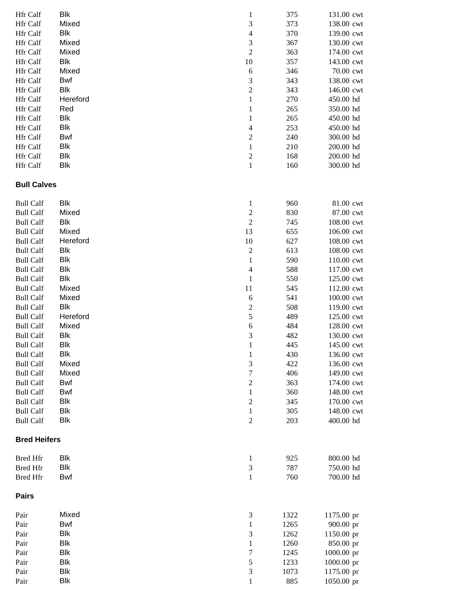| <b>Hfr</b> Calf     | <b>Blk</b> | 1                        | 375  | 131.00 cwt |
|---------------------|------------|--------------------------|------|------------|
| Hfr Calf            | Mixed      | 3                        | 373  | 138.00 cwt |
| Hfr Calf            | Blk        | $\overline{\mathcal{L}}$ | 370  | 139.00 cwt |
| Hfr Calf            | Mixed      | 3                        | 367  | 130.00 cwt |
| Hfr Calf            | Mixed      | $\overline{2}$           | 363  | 174.00 cwt |
| Hfr Calf            | <b>Blk</b> | 10                       | 357  | 143.00 cwt |
| Hfr Calf            | Mixed      | 6                        | 346  | 70.00 cwt  |
| Hfr Calf            | <b>Bwf</b> | 3                        | 343  | 138.00 cwt |
| Hfr Calf            | <b>Blk</b> | $\overline{\mathbf{c}}$  | 343  | 146.00 cwt |
| Hfr Calf            | Hereford   | $\mathbf{1}$             | 270  | 450.00 hd  |
| Hfr Calf            | Red        | 1                        | 265  | 350.00 hd  |
| Hfr Calf            | <b>Blk</b> | $\mathbf{1}$             | 265  | 450.00 hd  |
| Hfr Calf            | <b>Blk</b> | $\overline{\mathcal{L}}$ | 253  | 450.00 hd  |
| Hfr Calf            | Bwf        | $\overline{\mathbf{c}}$  | 240  | 300.00 hd  |
| Hfr Calf            | <b>Blk</b> | $\mathbf{1}$             | 210  | 200.00 hd  |
| Hfr Calf            | <b>Blk</b> | $\overline{\mathbf{c}}$  | 168  | 200.00 hd  |
| Hfr Calf            | <b>Blk</b> | $\mathbf 1$              | 160  | 300.00 hd  |
| <b>Bull Calves</b>  |            |                          |      |            |
| <b>Bull Calf</b>    | Blk        | $\mathbf{1}$             | 960  | 81.00 cwt  |
| <b>Bull Calf</b>    | Mixed      | $\overline{\mathbf{c}}$  | 830  | 87.00 cwt  |
| <b>Bull Calf</b>    | <b>Blk</b> | $\overline{c}$           | 745  | 108.00 cwt |
| <b>Bull Calf</b>    | Mixed      | 13                       | 655  | 106.00 cwt |
| <b>Bull Calf</b>    | Hereford   | 10                       | 627  | 108.00 cwt |
| <b>Bull Calf</b>    | <b>Blk</b> | $\overline{c}$           | 613  | 108.00 cwt |
| <b>Bull Calf</b>    | <b>Blk</b> | $\mathbf{1}$             | 590  | 110.00 cwt |
| <b>Bull Calf</b>    | <b>Blk</b> | $\overline{4}$           | 588  | 117.00 cwt |
| <b>Bull Calf</b>    | <b>Blk</b> | $\,1$                    | 550  | 125.00 cwt |
| <b>Bull Calf</b>    | Mixed      | 11                       | 545  | 112.00 cwt |
| <b>Bull Calf</b>    | Mixed      | 6                        | 541  | 100.00 cwt |
| <b>Bull Calf</b>    | <b>Blk</b> | $\overline{\mathbf{c}}$  | 508  | 119.00 cwt |
| <b>Bull Calf</b>    | Hereford   | 5                        | 489  | 125.00 cwt |
| <b>Bull Calf</b>    | Mixed      | 6                        | 484  | 128.00 cwt |
| <b>Bull Calf</b>    | Blk        | 3                        | 482  | 130.00 cwt |
| <b>Bull Calf</b>    | Blk        | $\mathbf{1}$             | 445  | 145.00 cwt |
| <b>Bull Calf</b>    | Blk        | $\mathbf{I}$             | 430  | 136.00 cwt |
| <b>Bull Calf</b>    | Mixed      | 3                        | 422  | 136.00 cwt |
| <b>Bull Calf</b>    | Mixed      | 7                        | 406  | 149.00 cwt |
| <b>Bull Calf</b>    | <b>Bwf</b> | $\overline{\mathbf{c}}$  | 363  | 174.00 cwt |
| <b>Bull Calf</b>    | <b>Bwf</b> | $\mathbf{1}$             | 360  | 148.00 cwt |
| <b>Bull Calf</b>    | <b>Blk</b> | $\overline{\mathbf{c}}$  | 345  | 170.00 cwt |
| <b>Bull Calf</b>    | <b>Blk</b> | $\mathbf{1}$             | 305  | 148.00 cwt |
| <b>Bull Calf</b>    | <b>Blk</b> | 2                        | 203  | 400.00 hd  |
| <b>Bred Heifers</b> |            |                          |      |            |
| <b>Bred Hfr</b>     | <b>Blk</b> | $\mathbf{1}$             | 925  | 800.00 hd  |
| <b>Bred Hfr</b>     | <b>Blk</b> | 3                        | 787  | 750.00 hd  |
| <b>Bred Hfr</b>     | <b>Bwf</b> | $\mathbf{1}$             | 760  | 700.00 hd  |
| <b>Pairs</b>        |            |                          |      |            |
| Pair                | Mixed      | 3                        | 1322 | 1175.00 pr |
| Pair                | <b>Bwf</b> | 1                        | 1265 | 900.00 pr  |
| Pair                | <b>Blk</b> | 3                        | 1262 | 1150.00 pr |
| Pair                | <b>Blk</b> | $\mathbf{1}$             | 1260 | 850.00 pr  |
| Pair                | <b>Blk</b> | 7                        | 1245 | 1000.00 pr |
| Pair                | <b>Blk</b> | 5                        | 1233 | 1000.00 pr |
| Pair                | <b>Blk</b> | 3                        | 1073 | 1175.00 pr |
| Pair                | <b>Blk</b> | 1                        | 885  | 1050.00 pr |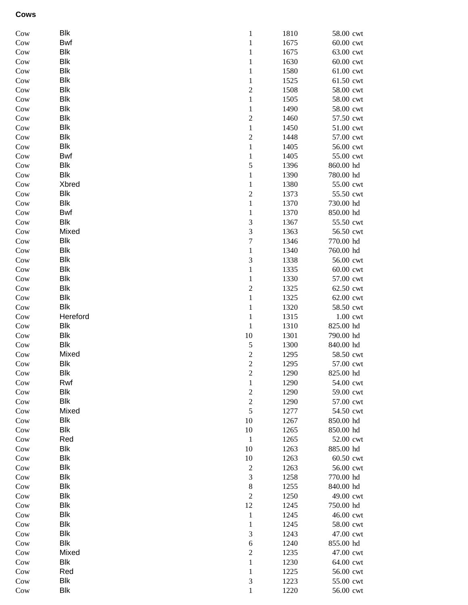## **Cows**

| Cow           | Blk        | 1                       | 1810 | 58.00 cwt |
|---------------|------------|-------------------------|------|-----------|
| Cow           | <b>Bwf</b> | $\mathbf{1}$            | 1675 | 60.00 cwt |
| Cow           | Blk        | $\mathbf{1}$            | 1675 | 63.00 cwt |
| Cow           | Blk        | 1                       | 1630 | 60.00 cwt |
| Cow           | Blk        | 1                       | 1580 | 61.00 cwt |
| Cow           | Blk        | 1                       | 1525 | 61.50 cwt |
| Cow           | Blk        | 2                       | 1508 | 58.00 cwt |
| Cow           | Blk        | 1                       | 1505 | 58.00 cwt |
| Cow           | Blk        | 1                       | 1490 | 58.00 cwt |
| Cow           | Blk        | $\overline{\mathbf{c}}$ | 1460 | 57.50 cwt |
| Cow           | Blk        | 1                       | 1450 | 51.00 cwt |
| Cow           | Blk        | $\overline{c}$          | 1448 | 57.00 cwt |
| Cow           | Blk        | $\mathbf{1}$            | 1405 | 56.00 cwt |
| Cow           | Bwf        | $\mathbf{1}$            | 1405 | 55.00 cwt |
| Cow           | Blk        | 5                       | 1396 | 860.00 hd |
| Cow           | Blk        | $\mathbf{1}$            | 1390 | 780.00 hd |
| Cow           | Xbred      | 1                       | 1380 | 55.00 cwt |
| Cow           | Blk        | $\overline{c}$          | 1373 | 55.50 cwt |
| Cow           | Blk        | $\mathbf{1}$            | 1370 | 730.00 hd |
| Cow           | Bwf        | 1                       | 1370 | 850.00 hd |
| Cow           | Blk        | 3                       | 1367 | 55.50 cwt |
| Cow           | Mixed      | 3                       | 1363 | 56.50 cwt |
| Cow           | Blk        | 7                       | 1346 | 770.00 hd |
| Cow           | Blk        | 1                       | 1340 | 760.00 hd |
| Cow           | Blk        | 3                       | 1338 | 56.00 cwt |
| Cow           | Blk        | 1                       | 1335 | 60.00 cwt |
| Cow           | Blk        | $\mathbf{1}$            | 1330 | 57.00 cwt |
| Cow           | Blk        | $\overline{\mathbf{c}}$ | 1325 | 62.50 cwt |
| Cow           | Blk        | $\mathbf{1}$            | 1325 | 62.00 cwt |
| Cow           | Blk        | $\mathbf{1}$            | 1320 | 58.50 cwt |
| Cow           | Hereford   | $\mathbf{1}$            | 1315 | 1.00 cwt  |
| Cow           | Blk        | $\mathbf 1$             | 1310 | 825.00 hd |
| Cow           | Blk        | $10\,$                  | 1301 | 790.00 hd |
| Cow           | Blk        | 5                       | 1300 | 840.00 hd |
| Cow           | Mixed      | $\overline{c}$          | 1295 | 58.50 cwt |
| Cow           | Blk        | $\overline{c}$          | 1295 | 57.00 cwt |
| Cow           | Blk        | 2                       | 1290 | 825.00 hd |
| $_{\rm{Cow}}$ | Rwf        | $\mathbf{1}$            | 1290 | 54.00 cwt |
| Cow           | Blk        | $\mathbf{2}$            | 1290 | 59.00 cwt |
| Cow           | Blk        | $\overline{c}$          | 1290 | 57.00 cwt |
| Cow           | Mixed      | 5                       | 1277 | 54.50 cwt |
| Cow           | Blk        | 10                      | 1267 | 850.00 hd |
| Cow           | Blk        | 10                      | 1265 | 850.00 hd |
| Cow           | Red        | $\mathbf{1}$            | 1265 | 52.00 cwt |
| Cow           | Blk        | 10                      | 1263 | 885.00 hd |
| Cow           | Blk        | 10                      | 1263 | 60.50 cwt |
| Cow           | Blk        | $\boldsymbol{2}$        | 1263 | 56.00 cwt |
| Cow           | Blk        | 3                       | 1258 | 770.00 hd |
| Cow           | Blk        | $\,8\,$                 | 1255 | 840.00 hd |
| Cow           | Blk        | $\overline{2}$          | 1250 | 49.00 cwt |
| Cow           | Blk        | 12                      | 1245 | 750.00 hd |
| Cow           | Blk        | $\mathbf{1}$            | 1245 | 46.00 cwt |
| Cow           | Blk        | 1                       | 1245 | 58.00 cwt |
| Cow           | Blk        | 3                       | 1243 | 47.00 cwt |
| Cow           | Blk        | 6                       | 1240 | 855.00 hd |
| Cow           | Mixed      | $\overline{c}$          | 1235 | 47.00 cwt |
| Cow           | Blk        | 1                       | 1230 | 64.00 cwt |
| Cow           | Red        | 1                       | 1225 | 56.00 cwt |
| Cow           | Blk        | 3                       | 1223 | 55.00 cwt |
| Cow           | Blk        | $\mathbf{1}$            | 1220 | 56.00 cwt |
|               |            |                         |      |           |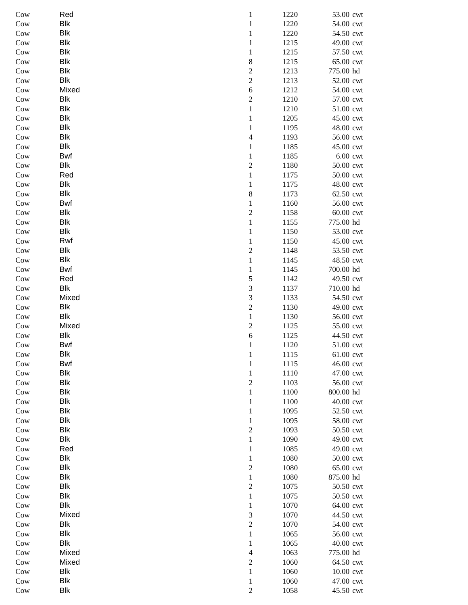| Cow        | Red        | $\mathbf{1}$               | 1220         | 53.00 cwt              |
|------------|------------|----------------------------|--------------|------------------------|
| Cow        | <b>Blk</b> | $\,1\,$                    | 1220         | 54.00 cwt              |
| Cow        | <b>Blk</b> | $\mathbf{1}$               | 1220         | 54.50 cwt              |
| Cow        | <b>Blk</b> | $\mathbf{1}$               | 1215         | 49.00 cwt              |
| Cow        | <b>Blk</b> | $\mathbf 1$                | 1215         | 57.50 cwt              |
| Cow        | <b>Blk</b> | 8                          | 1215         | 65.00 cwt              |
| Cow        | <b>Blk</b> | $\overline{c}$             | 1213         | 775.00 hd              |
| Cow        | Blk        | $\overline{c}$             | 1213         | 52.00 cwt              |
| Cow        | Mixed      | $\sqrt{6}$                 | 1212         | 54.00 cwt              |
| Cow        | Blk        | $\boldsymbol{2}$           | 1210         | 57.00 cwt              |
| Cow        | <b>Blk</b> | $\,1\,$                    | 1210         | 51.00 cwt              |
| Cow        | <b>Blk</b> | $\,1\,$                    | 1205         | 45.00 cwt              |
| Cow        | <b>Blk</b> | $\mathbf 1$                | 1195         | 48.00 cwt              |
| Cow        | <b>Blk</b> | 4                          | 1193         | 56.00 cwt              |
| Cow        | <b>Blk</b> | $\mathbf{1}$               | 1185         | 45.00 cwt              |
| Cow        | <b>Bwf</b> | $\,1$                      | 1185         | $6.00$ cwt             |
| Cow        | Blk        | $\overline{c}$             | 1180         | 50.00 cwt              |
| Cow        | Red        | $\,1$                      | 1175         | 50.00 cwt              |
| Cow        | Blk        | $\mathbf 1$                | 1175         | 48.00 cwt              |
| Cow        | Blk        | 8                          | 1173         | 62.50 cwt              |
| Cow        | Bwf        | $\mathbf{1}$               | 1160         | 56.00 cwt              |
| Cow        | <b>Blk</b> | $\overline{\mathbf{c}}$    | 1158         | 60.00 cwt              |
| Cow        | <b>Blk</b> | $\mathbf 1$                | 1155         | 775.00 hd              |
| Cow        | <b>Blk</b> | $\,1\,$                    | 1150         | 53.00 cwt              |
| Cow        | Rwf        | $\mathbf 1$                | 1150         | 45.00 cwt              |
| Cow        | Blk        | $\overline{c}$             | 1148         | 53.50 cwt              |
| Cow        | Blk        | $\,1\,$                    | 1145         | 48.50 cwt              |
| Cow        | Bwf        | $\,1\,$                    | 1145         | 700.00 hd              |
| Cow        | Red        | 5                          | 1142         | 49.50 cwt              |
| Cow        | Blk        | $\overline{\mathbf{3}}$    | 1137         | 710.00 hd              |
| Cow        | Mixed      | 3                          | 1133         | 54.50 cwt              |
| Cow        | <b>Blk</b> | $\overline{c}$             | 1130         | 49.00 cwt              |
| Cow        | Blk        | $\mathbf 1$                | 1130         | 56.00 cwt              |
| Cow        | Mixed      | $\overline{c}$             | 1125         | 55.00 cwt              |
| Cow        | Blk        | 6                          | 1125         | 44.50 cwt              |
| Cow        | Bwf        | $\mathbf{1}$               | 1120         | 51.00 cwt              |
| Cow        | Blk        | 1                          | 1115         | 61.00 cwt              |
| Cow        | Bwf        | $\mathbf{1}$               | 1115         | 46.00 cwt              |
| Cow        | <b>Blk</b> | $\mathbf 1$                | 1110         | 47.00 cwt              |
| Cow        | Blk        | $\overline{c}$             | 1103         | 56.00 cwt              |
| Cow        | Blk<br>Blk | $\,1$                      | 1100<br>1100 | 800.00 hd              |
| Cow        | Blk        | $\mathbf 1$<br>$\mathbf 1$ | 1095         | 40.00 cwt<br>52.50 cwt |
| Cow<br>Cow | Blk        | $\mathbf 1$                | 1095         | 58.00 cwt              |
| Cow        | <b>Blk</b> | $\sqrt{2}$                 | 1093         | 50.50 cwt              |
| Cow        | Blk        | $\,1\,$                    | 1090         | 49.00 cwt              |
| Cow        | Red        | $\mathbf 1$                | 1085         | 49.00 cwt              |
| Cow        | Blk        | $\,1$                      | 1080         | 50.00 cwt              |
| Cow        | <b>Blk</b> | $\overline{c}$             | 1080         | 65.00 cwt              |
| Cow        | <b>Blk</b> | $\,1$                      | 1080         | 875.00 hd              |
| Cow        | <b>Blk</b> | $\overline{c}$             | 1075         | 50.50 cwt              |
| Cow        | Blk        | $\,1$                      | 1075         | 50.50 cwt              |
| Cow        | <b>Blk</b> | $\,1$                      | 1070         | 64.00 cwt              |
| Cow        | Mixed      | 3                          | 1070         | 44.50 cwt              |
| Cow        | Blk        | $\overline{c}$             | 1070         | 54.00 cwt              |
| Cow        | Blk        | $\mathbf{1}$               | 1065         | 56.00 cwt              |
| Cow        | Blk        | $\mathbf 1$                | 1065         | 40.00 cwt              |
| Cow        | Mixed      | 4                          | 1063         | 775.00 hd              |
| Cow        | Mixed      | $\sqrt{2}$                 | 1060         | 64.50 cwt              |
| Cow        | Blk        | $\,1$                      | 1060         | 10.00 cwt              |
| Cow        | Blk        | $\mathbf{1}$               | 1060         | 47.00 cwt              |
| Cow        | <b>Blk</b> | $\boldsymbol{2}$           | 1058         | 45.50 cwt              |
|            |            |                            |              |                        |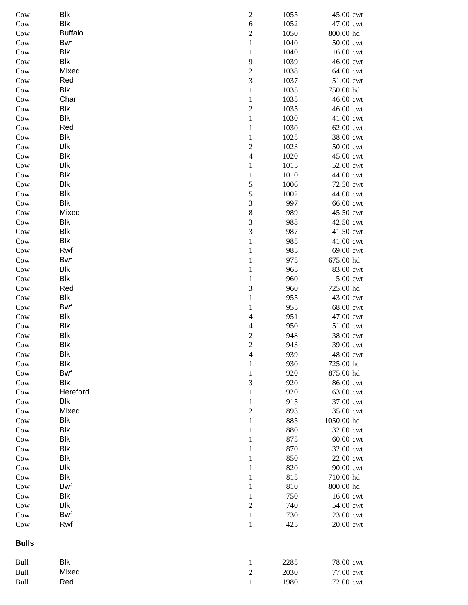| Cow            | <b>Blk</b>     | $\overline{\mathbf{c}}$  | 1055 | 45.00 cwt  |
|----------------|----------------|--------------------------|------|------------|
| Cow            | <b>Blk</b>     | $\overline{6}$           | 1052 | 47.00 cwt  |
| Cow            | <b>Buffalo</b> | $\overline{c}$           | 1050 | 800.00 hd  |
| Cow            | Bwf            | $\,1$                    | 1040 | 50.00 cwt  |
| Cow            | Blk            | $\,1$                    | 1040 | 16.00 cwt  |
| Cow            | Blk            | 9                        | 1039 | 46.00 cwt  |
| Cow            | Mixed          | $\overline{\mathbf{c}}$  | 1038 | 64.00 cwt  |
| Cow            | Red            | 3                        | 1037 | 51.00 cwt  |
| Cow            | Blk            | $\mathbf{1}$             | 1035 | 750.00 hd  |
| Cow            | Char           | $\,1$                    | 1035 | 46.00 cwt  |
| Cow            | <b>Blk</b>     | $\overline{\mathbf{c}}$  | 1035 | 46.00 cwt  |
| Cow            | <b>Blk</b>     | $\,1$                    | 1030 | 41.00 cwt  |
| Cow            | Red            | $\mathbf{1}$             | 1030 | 62.00 cwt  |
| Cow            | Blk            | $\,1$                    | 1025 | 38.00 cwt  |
| Cow            | <b>Blk</b>     | $\overline{c}$           | 1023 | 50.00 cwt  |
| Cow            | <b>Blk</b>     | $\overline{4}$           | 1020 | 45.00 cwt  |
| $_{\rm{Cow}}$  | <b>Blk</b>     | $\,1$                    | 1015 | 52.00 cwt  |
| $\mathrm{Cow}$ | <b>Blk</b>     | $\,1\,$                  | 1010 | 44.00 cwt  |
| Cow            | <b>Blk</b>     | 5                        | 1006 | 72.50 cwt  |
| Cow            | <b>Blk</b>     | 5                        | 1002 | 44.00 cwt  |
| Cow            | Blk            | 3                        | 997  | 66.00 cwt  |
| Cow            | Mixed          | $\,$ 8 $\,$              | 989  | 45.50 cwt  |
| Cow            | Blk            | 3                        | 988  | 42.50 cwt  |
| Cow            | Blk            | 3                        | 987  | 41.50 cwt  |
| Cow            | <b>Blk</b>     | $\mathbf{1}$             | 985  | 41.00 cwt  |
| Cow            | Rwf            | $\mathbf{1}$             | 985  | 69.00 cwt  |
| Cow            | Bwf            | $\,1$                    | 975  | 675.00 hd  |
| Cow            | <b>Blk</b>     | $\,1$                    | 965  | 83.00 cwt  |
| Cow            | <b>Blk</b>     | $\,1$                    | 960  | 5.00 cwt   |
| Cow            | Red            | 3                        | 960  | 725.00 hd  |
| Cow            | <b>Blk</b>     | $\,1\,$                  | 955  | 43.00 cwt  |
| Cow            | Bwf            | $\,1$                    | 955  | 68.00 cwt  |
| Cow            | <b>Blk</b>     | $\overline{4}$           | 951  | 47.00 cwt  |
| Cow            | <b>Blk</b>     | $\overline{\mathcal{L}}$ | 950  | 51.00 cwt  |
| Cow            | <b>Blk</b>     | $\overline{\mathbf{c}}$  | 948  | 38.00 cwt  |
| Cow            | Blk            | $\overline{c}$           | 943  | 39.00 cwt  |
| Cow            | Blk            | 4                        | 939  | 48.00 cwt  |
| Cow            | Blk            | $\mathbf{1}$             | 930  | 725.00 hd  |
| Cow            | Bwf            | $\mathbf{1}$             | 920  | 875.00 hd  |
| Cow            | <b>Blk</b>     | 3                        | 920  | 86.00 cwt  |
| Cow            | Hereford       | $\mathbf{1}$             | 920  | 63.00 cwt  |
| Cow            | Blk            | $\mathbf{1}$             | 915  | 37.00 cwt  |
| Cow            | Mixed          | $\overline{\mathbf{c}}$  | 893  | 35.00 cwt  |
| Cow            | Blk            | $\,1$                    | 885  | 1050.00 hd |
| Cow            | Blk            | $\mathbf{1}$             | 880  | 32.00 cwt  |
| Cow            | Blk            | $\mathbf{1}$             | 875  | 60.00 cwt  |
| Cow            | <b>Blk</b>     | $\mathbf{1}$             | 870  | 32.00 cwt  |
| Cow            | <b>Blk</b>     | 1                        | 850  | 22.00 cwt  |
| Cow            | <b>Blk</b>     | 1                        | 820  | 90.00 cwt  |
| Cow            | <b>Blk</b>     | 1                        | 815  | 710.00 hd  |
| Cow            | Bwf            | $\mathbf{1}$             | 810  | 800.00 hd  |
| Cow            | Blk            | $\mathbf 1$              | 750  | 16.00 cwt  |
| Cow            | <b>Blk</b>     | $\sqrt{2}$               | 740  | 54.00 cwt  |
| Cow            | Bwf            | $\mathbf{1}$             | 730  | 23.00 cwt  |
| Cow            | Rwf            | $\mathbf{1}$             | 425  | 20.00 cwt  |
| <b>Bulls</b>   |                |                          |      |            |
| Bull           | Blk            | $\mathbf{1}$             | 2285 | 78.00 cwt  |
| <b>Bull</b>    | Mixed          | $\boldsymbol{2}$         | 2030 | 77.00 cwt  |
| Bull           | Red            | $\mathbf{1}$             | 1980 | 72.00 cwt  |
|                |                |                          |      |            |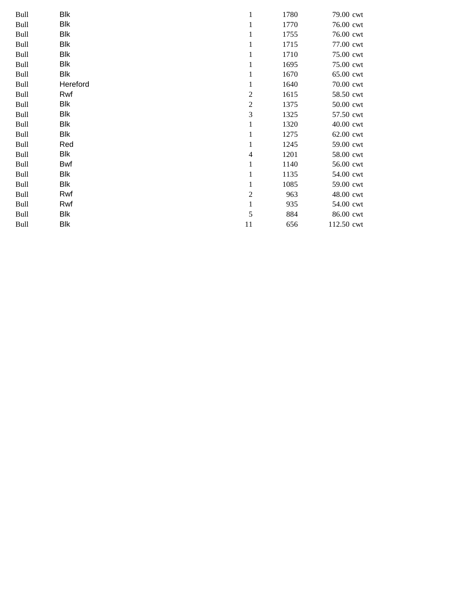| Bull | Blk        |                | 1780 | 79.00 cwt  |
|------|------------|----------------|------|------------|
| Bull | Blk        |                | 1770 | 76.00 cwt  |
| Bull | Blk        | $\mathbf{1}$   | 1755 | 76.00 cwt  |
| Bull | <b>Blk</b> | 1              | 1715 | 77.00 cwt  |
| Bull | Blk        | $\mathbf{1}$   | 1710 | 75.00 cwt  |
| Bull | Blk        | $\mathbf{1}$   | 1695 | 75.00 cwt  |
| Bull | Blk        | 1              | 1670 | 65.00 cwt  |
| Bull | Hereford   | $\mathbf{1}$   | 1640 | 70.00 cwt  |
| Bull | Rwf        | $\overline{c}$ | 1615 | 58.50 cwt  |
| Bull | Blk        | $\overline{c}$ | 1375 | 50.00 cwt  |
| Bull | Blk        | 3              | 1325 | 57.50 cwt  |
| Bull | Blk        | $\mathbf{1}$   | 1320 | 40.00 cwt  |
| Bull | Blk        | $\mathbf{1}$   | 1275 | 62.00 cwt  |
| Bull | Red        | 1              | 1245 | 59.00 cwt  |
| Bull | Blk        | $\overline{4}$ | 1201 | 58.00 cwt  |
| Bull | Bwf        | $\mathbf{1}$   | 1140 | 56.00 cwt  |
| Bull | Blk        | 1              | 1135 | 54.00 cwt  |
| Bull | Blk        | $\mathbf{1}$   | 1085 | 59.00 cwt  |
| Bull | Rwf        | $\overline{c}$ | 963  | 48.00 cwt  |
| Bull | Rwf        | $\mathbf{1}$   | 935  | 54.00 cwt  |
| Bull | Blk        | 5              | 884  | 86.00 cwt  |
| Bull | Blk        | 11             | 656  | 112.50 cwt |
|      |            |                |      |            |